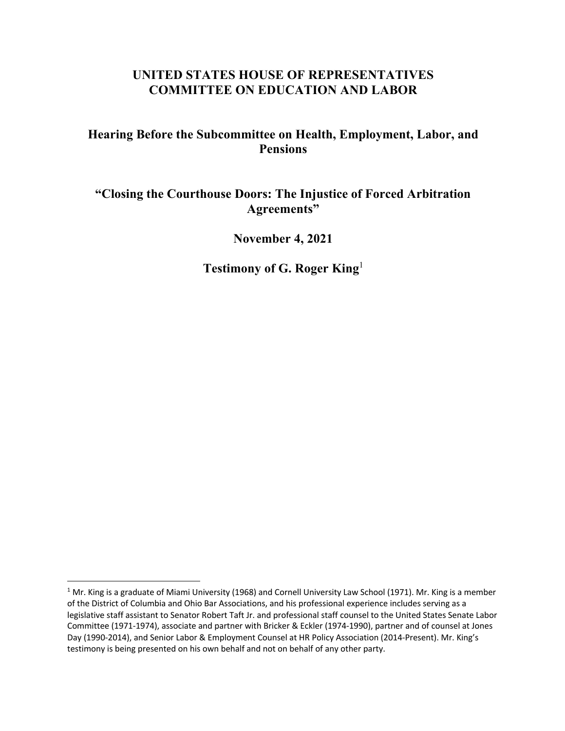#### **UNITED STATES HOUSE OF REPRESENTATIVES COMMITTEE ON EDUCATION AND LABOR**

### **Hearing Before the Subcommittee on Health, Employment, Labor, and Pensions**

**"Closing the Courthouse Doors: The Injustice of Forced Arbitration Agreements"**

**November 4, 2021**

**Testimony of G. Roger King**<sup>1</sup>

<sup>&</sup>lt;sup>1</sup> Mr. King is a graduate of Miami University (1968) and Cornell University Law School (1971). Mr. King is a member of the District of Columbia and Ohio Bar Associations, and his professional experience includes serving as a legislative staff assistant to Senator Robert Taft Jr. and professional staff counsel to the United States Senate Labor Committee (1971-1974), associate and partner with Bricker & Eckler (1974-1990), partner and of counsel at Jones Day (1990-2014), and Senior Labor & Employment Counsel at HR Policy Association (2014-Present). Mr. King's testimony is being presented on his own behalf and not on behalf of any other party.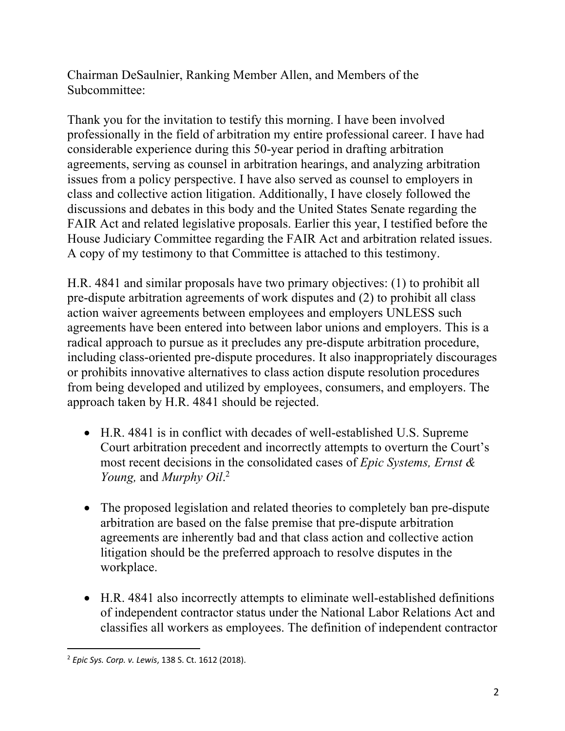Chairman DeSaulnier, Ranking Member Allen, and Members of the Subcommittee:

Thank you for the invitation to testify this morning. I have been involved professionally in the field of arbitration my entire professional career. I have had considerable experience during this 50-year period in drafting arbitration agreements, serving as counsel in arbitration hearings, and analyzing arbitration issues from a policy perspective. I have also served as counsel to employers in class and collective action litigation. Additionally, I have closely followed the discussions and debates in this body and the United States Senate regarding the FAIR Act and related legislative proposals. Earlier this year, I testified before the House Judiciary Committee regarding the FAIR Act and arbitration related issues. A copy of my testimony to that Committee is attached to this testimony.

H.R. 4841 and similar proposals have two primary objectives: (1) to prohibit all pre-dispute arbitration agreements of work disputes and (2) to prohibit all class action waiver agreements between employees and employers UNLESS such agreements have been entered into between labor unions and employers. This is a radical approach to pursue as it precludes any pre-dispute arbitration procedure, including class-oriented pre-dispute procedures. It also inappropriately discourages or prohibits innovative alternatives to class action dispute resolution procedures from being developed and utilized by employees, consumers, and employers. The approach taken by H.R. 4841 should be rejected.

- H.R. 4841 is in conflict with decades of well-established U.S. Supreme Court arbitration precedent and incorrectly attempts to overturn the Court's most recent decisions in the consolidated cases of *Epic Systems, Ernst & Young,* and *Murphy Oil*. 2
- The proposed legislation and related theories to completely ban pre-dispute arbitration are based on the false premise that pre-dispute arbitration agreements are inherently bad and that class action and collective action litigation should be the preferred approach to resolve disputes in the workplace.
- H.R. 4841 also incorrectly attempts to eliminate well-established definitions of independent contractor status under the National Labor Relations Act and classifies all workers as employees. The definition of independent contractor

<sup>2</sup> *Epic Sys. Corp. v. Lewis*, 138 S. Ct. 1612 (2018).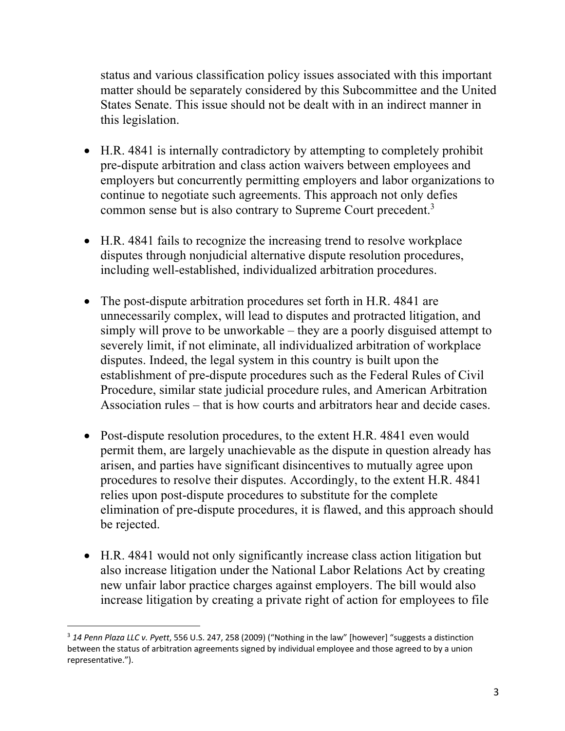status and various classification policy issues associated with this important matter should be separately considered by this Subcommittee and the United States Senate. This issue should not be dealt with in an indirect manner in this legislation.

- H.R. 4841 is internally contradictory by attempting to completely prohibit pre-dispute arbitration and class action waivers between employees and employers but concurrently permitting employers and labor organizations to continue to negotiate such agreements. This approach not only defies common sense but is also contrary to Supreme Court precedent.<sup>3</sup>
- H.R. 4841 fails to recognize the increasing trend to resolve workplace disputes through nonjudicial alternative dispute resolution procedures, including well-established, individualized arbitration procedures.
- The post-dispute arbitration procedures set forth in H.R. 4841 are unnecessarily complex, will lead to disputes and protracted litigation, and simply will prove to be unworkable – they are a poorly disguised attempt to severely limit, if not eliminate, all individualized arbitration of workplace disputes. Indeed, the legal system in this country is built upon the establishment of pre-dispute procedures such as the Federal Rules of Civil Procedure, similar state judicial procedure rules, and American Arbitration Association rules – that is how courts and arbitrators hear and decide cases.
- Post-dispute resolution procedures, to the extent H.R. 4841 even would permit them, are largely unachievable as the dispute in question already has arisen, and parties have significant disincentives to mutually agree upon procedures to resolve their disputes. Accordingly, to the extent H.R. 4841 relies upon post-dispute procedures to substitute for the complete elimination of pre-dispute procedures, it is flawed, and this approach should be rejected.
- H.R. 4841 would not only significantly increase class action litigation but also increase litigation under the National Labor Relations Act by creating new unfair labor practice charges against employers. The bill would also increase litigation by creating a private right of action for employees to file

<sup>3</sup> *14 Penn Plaza LLC v. Pyett*, 556 U.S. 247, 258 (2009) ("Nothing in the law" [however] "suggests a distinction between the status of arbitration agreements signed by individual employee and those agreed to by a union representative.").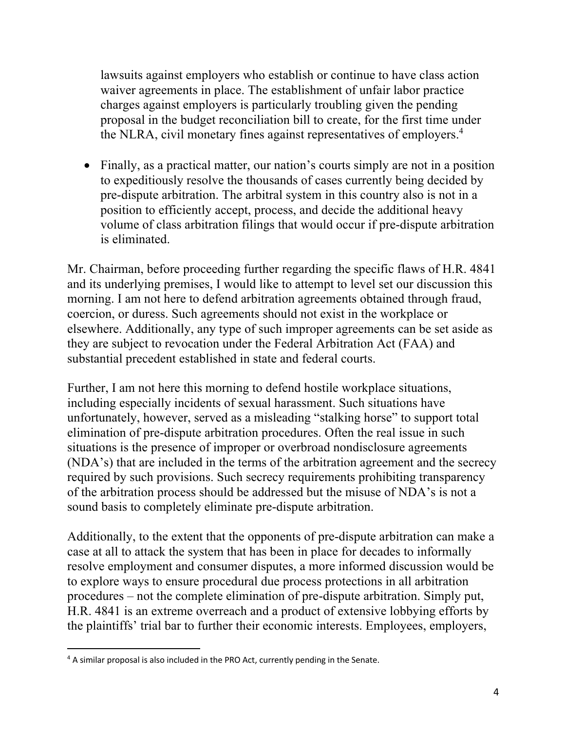lawsuits against employers who establish or continue to have class action waiver agreements in place. The establishment of unfair labor practice charges against employers is particularly troubling given the pending proposal in the budget reconciliation bill to create, for the first time under the NLRA, civil monetary fines against representatives of employers. 4

• Finally, as a practical matter, our nation's courts simply are not in a position to expeditiously resolve the thousands of cases currently being decided by pre-dispute arbitration. The arbitral system in this country also is not in a position to efficiently accept, process, and decide the additional heavy volume of class arbitration filings that would occur if pre-dispute arbitration is eliminated.

Mr. Chairman, before proceeding further regarding the specific flaws of H.R. 4841 and its underlying premises, I would like to attempt to level set our discussion this morning. I am not here to defend arbitration agreements obtained through fraud, coercion, or duress. Such agreements should not exist in the workplace or elsewhere. Additionally, any type of such improper agreements can be set aside as they are subject to revocation under the Federal Arbitration Act (FAA) and substantial precedent established in state and federal courts.

Further, I am not here this morning to defend hostile workplace situations, including especially incidents of sexual harassment. Such situations have unfortunately, however, served as a misleading "stalking horse" to support total elimination of pre-dispute arbitration procedures. Often the real issue in such situations is the presence of improper or overbroad nondisclosure agreements (NDA's) that are included in the terms of the arbitration agreement and the secrecy required by such provisions. Such secrecy requirements prohibiting transparency of the arbitration process should be addressed but the misuse of NDA's is not a sound basis to completely eliminate pre-dispute arbitration.

Additionally, to the extent that the opponents of pre-dispute arbitration can make a case at all to attack the system that has been in place for decades to informally resolve employment and consumer disputes, a more informed discussion would be to explore ways to ensure procedural due process protections in all arbitration procedures – not the complete elimination of pre-dispute arbitration. Simply put, H.R. 4841 is an extreme overreach and a product of extensive lobbying efforts by the plaintiffs' trial bar to further their economic interests. Employees, employers,

<sup>&</sup>lt;sup>4</sup> A similar proposal is also included in the PRO Act, currently pending in the Senate.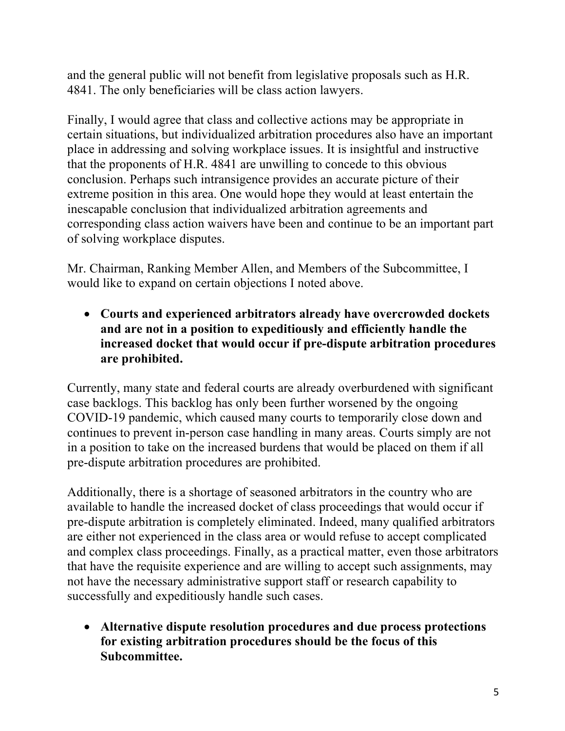and the general public will not benefit from legislative proposals such as H.R. 4841. The only beneficiaries will be class action lawyers.

Finally, I would agree that class and collective actions may be appropriate in certain situations, but individualized arbitration procedures also have an important place in addressing and solving workplace issues. It is insightful and instructive that the proponents of H.R. 4841 are unwilling to concede to this obvious conclusion. Perhaps such intransigence provides an accurate picture of their extreme position in this area. One would hope they would at least entertain the inescapable conclusion that individualized arbitration agreements and corresponding class action waivers have been and continue to be an important part of solving workplace disputes.

Mr. Chairman, Ranking Member Allen, and Members of the Subcommittee, I would like to expand on certain objections I noted above.

• **Courts and experienced arbitrators already have overcrowded dockets and are not in a position to expeditiously and efficiently handle the increased docket that would occur if pre-dispute arbitration procedures are prohibited.**

Currently, many state and federal courts are already overburdened with significant case backlogs. This backlog has only been further worsened by the ongoing COVID-19 pandemic, which caused many courts to temporarily close down and continues to prevent in-person case handling in many areas. Courts simply are not in a position to take on the increased burdens that would be placed on them if all pre-dispute arbitration procedures are prohibited.

Additionally, there is a shortage of seasoned arbitrators in the country who are available to handle the increased docket of class proceedings that would occur if pre-dispute arbitration is completely eliminated. Indeed, many qualified arbitrators are either not experienced in the class area or would refuse to accept complicated and complex class proceedings. Finally, as a practical matter, even those arbitrators that have the requisite experience and are willing to accept such assignments, may not have the necessary administrative support staff or research capability to successfully and expeditiously handle such cases.

• **Alternative dispute resolution procedures and due process protections for existing arbitration procedures should be the focus of this Subcommittee.**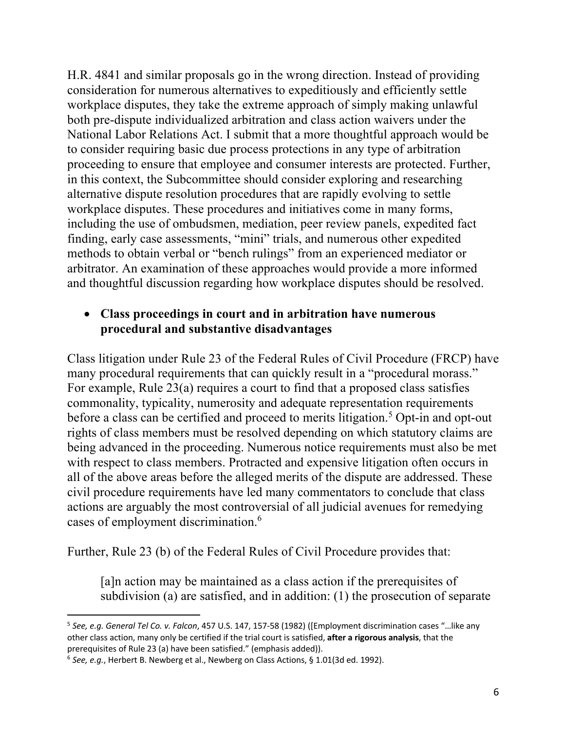H.R. 4841 and similar proposals go in the wrong direction. Instead of providing consideration for numerous alternatives to expeditiously and efficiently settle workplace disputes, they take the extreme approach of simply making unlawful both pre-dispute individualized arbitration and class action waivers under the National Labor Relations Act. I submit that a more thoughtful approach would be to consider requiring basic due process protections in any type of arbitration proceeding to ensure that employee and consumer interests are protected. Further, in this context, the Subcommittee should consider exploring and researching alternative dispute resolution procedures that are rapidly evolving to settle workplace disputes. These procedures and initiatives come in many forms, including the use of ombudsmen, mediation, peer review panels, expedited fact finding, early case assessments, "mini" trials, and numerous other expedited methods to obtain verbal or "bench rulings" from an experienced mediator or arbitrator. An examination of these approaches would provide a more informed and thoughtful discussion regarding how workplace disputes should be resolved.

#### • **Class proceedings in court and in arbitration have numerous procedural and substantive disadvantages**

Class litigation under Rule 23 of the Federal Rules of Civil Procedure (FRCP) have many procedural requirements that can quickly result in a "procedural morass." For example, Rule 23(a) requires a court to find that a proposed class satisfies commonality, typicality, numerosity and adequate representation requirements before a class can be certified and proceed to merits litigation.<sup>5</sup> Opt-in and opt-out rights of class members must be resolved depending on which statutory claims are being advanced in the proceeding. Numerous notice requirements must also be met with respect to class members. Protracted and expensive litigation often occurs in all of the above areas before the alleged merits of the dispute are addressed. These civil procedure requirements have led many commentators to conclude that class actions are arguably the most controversial of all judicial avenues for remedying cases of employment discrimination.6

Further, Rule 23 (b) of the Federal Rules of Civil Procedure provides that:

[a]n action may be maintained as a class action if the prerequisites of subdivision (a) are satisfied, and in addition: (1) the prosecution of separate

<sup>5</sup> *See, e.g. General Tel Co. v. Falcon*, 457 U.S. 147, 157-58 (1982) ([Employment discrimination cases "…like any other class action, many only be certified if the trial court is satisfied, **after a rigorous analysis**, that the prerequisites of Rule 23 (a) have been satisfied." (emphasis added)).

<sup>6</sup> *See, e.g.*, Herbert B. Newberg et al., Newberg on Class Actions, § 1.01(3d ed. 1992).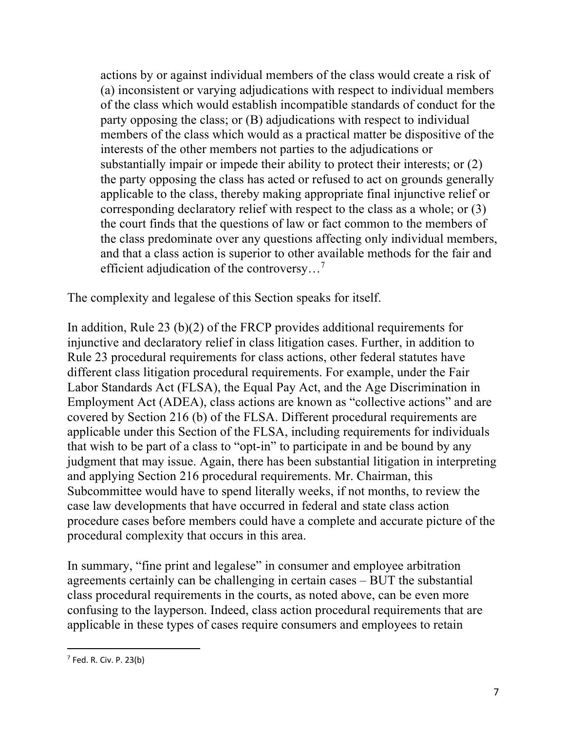actions by or against individual members of the class would create a risk of (a) inconsistent or varying adjudications with respect to individual members of the class which would establish incompatible standards of conduct for the party opposing the class; or (B) adjudications with respect to individual members of the class which would as a practical matter be dispositive of the interests of the other members not parties to the adjudications or substantially impair or impede their ability to protect their interests; or (2) the party opposing the class has acted or refused to act on grounds generally applicable to the class, thereby making appropriate final injunctive relief or corresponding declaratory relief with respect to the class as a whole; or (3) the court finds that the questions of law or fact common to the members of the class predominate over any questions affecting only individual members, and that a class action is superior to other available methods for the fair and efficient adjudication of the controversy...<sup>7</sup>

The complexity and legalese of this Section speaks for itself.

In addition, Rule 23 (b)(2) of the FRCP provides additional requirements for injunctive and declaratory relief in class litigation cases. Further, in addition to Rule 23 procedural requirements for class actions, other federal statutes have different class litigation procedural requirements. For example, under the Fair Labor Standards Act (FLSA), the Equal Pay Act, and the Age Discrimination in Employment Act (ADEA), class actions are known as "collective actions" and are covered by Section 216 (b) of the FLSA. Different procedural requirements are applicable under this Section of the FLSA, including requirements for individuals that wish to be part of a class to "opt-in" to participate in and be bound by any judgment that may issue. Again, there has been substantial litigation in interpreting and applying Section 216 procedural requirements. Mr. Chairman, this Subcommittee would have to spend literally weeks, if not months, to review the case law developments that have occurred in federal and state class action procedure cases before members could have a complete and accurate picture of the procedural complexity that occurs in this area.

In summary, "fine print and legalese" in consumer and employee arbitration agreements certainly can be challenging in certain cases – BUT the substantial class procedural requirements in the courts, as noted above, can be even more confusing to the layperson. Indeed, class action procedural requirements that are applicable in these types of cases require consumers and employees to retain

<sup>7</sup> Fed. R. Civ. P. 23(b)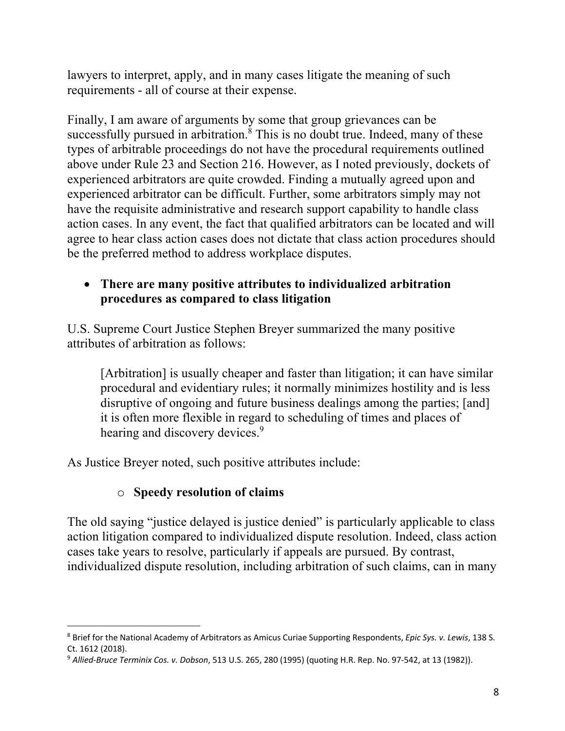lawyers to interpret, apply, and in many cases litigate the meaning of such requirements - all of course at their expense.

Finally, I am aware of arguments by some that group grievances can be successfully pursued in arbitration. $8$  This is no doubt true. Indeed, many of these types of arbitrable proceedings do not have the procedural requirements outlined above under Rule 23 and Section 216. However, as I noted previously, dockets of experienced arbitrators are quite crowded. Finding a mutually agreed upon and experienced arbitrator can be difficult. Further, some arbitrators simply may not have the requisite administrative and research support capability to handle class action cases. In any event, the fact that qualified arbitrators can be located and will agree to hear class action cases does not dictate that class action procedures should be the preferred method to address workplace disputes.

### • **There are many positive attributes to individualized arbitration procedures as compared to class litigation**

U.S. Supreme Court Justice Stephen Breyer summarized the many positive attributes of arbitration as follows:

[Arbitration] is usually cheaper and faster than litigation; it can have similar procedural and evidentiary rules; it normally minimizes hostility and is less disruptive of ongoing and future business dealings among the parties; [and] it is often more flexible in regard to scheduling of times and places of hearing and discovery devices.<sup>9</sup>

As Justice Breyer noted, such positive attributes include:

# o **Speedy resolution of claims**

The old saying "justice delayed is justice denied" is particularly applicable to class action litigation compared to individualized dispute resolution. Indeed, class action cases take years to resolve, particularly if appeals are pursued. By contrast, individualized dispute resolution, including arbitration of such claims, can in many

<sup>8</sup> Brief for the National Academy of Arbitrators as Amicus Curiae Supporting Respondents, *Epic Sys. v. Lewis*, 138 S. Ct. 1612 (2018).

<sup>9</sup> *Allied-Bruce Terminix Cos. v. Dobson*, 513 U.S. 265, 280 (1995) (quoting H.R. Rep. No. 97-542, at 13 (1982)).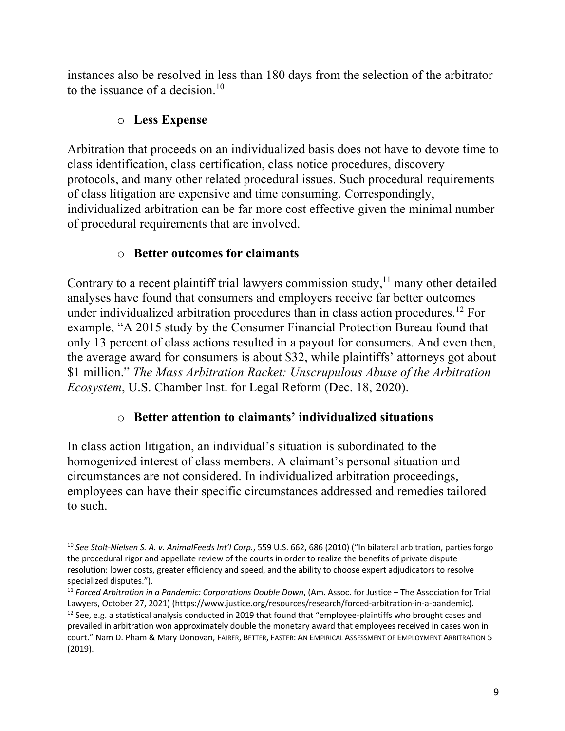instances also be resolved in less than 180 days from the selection of the arbitrator to the issuance of a decision.<sup>10</sup>

### o **Less Expense**

Arbitration that proceeds on an individualized basis does not have to devote time to class identification, class certification, class notice procedures, discovery protocols, and many other related procedural issues. Such procedural requirements of class litigation are expensive and time consuming. Correspondingly, individualized arbitration can be far more cost effective given the minimal number of procedural requirements that are involved.

### o **Better outcomes for claimants**

Contrary to a recent plaintiff trial lawyers commission study,<sup>11</sup> many other detailed analyses have found that consumers and employers receive far better outcomes under individualized arbitration procedures than in class action procedures.<sup>12</sup> For example, "A 2015 study by the Consumer Financial Protection Bureau found that only 13 percent of class actions resulted in a payout for consumers. And even then, the average award for consumers is about \$32, while plaintiffs' attorneys got about \$1 million." *The Mass Arbitration Racket: Unscrupulous Abuse of the Arbitration Ecosystem*, U.S. Chamber Inst. for Legal Reform (Dec. 18, 2020).

### o **Better attention to claimants' individualized situations**

In class action litigation, an individual's situation is subordinated to the homogenized interest of class members. A claimant's personal situation and circumstances are not considered. In individualized arbitration proceedings, employees can have their specific circumstances addressed and remedies tailored to such.

<sup>10</sup> *See Stolt-Nielsen S. A. v. AnimalFeeds Int'l Corp.*, 559 U.S. 662, 686 (2010) ("In bilateral arbitration, parties forgo the procedural rigor and appellate review of the courts in order to realize the benefits of private dispute resolution: lower costs, greater efficiency and speed, and the ability to choose expert adjudicators to resolve specialized disputes.").

<sup>11</sup> *Forced Arbitration in a Pandemic: Corporations Double Down*, (Am. Assoc. for Justice – The Association for Trial Lawyers, October 27, 2021) (https://www.justice.org/resources/research/forced-arbitration-in-a-pandemic).  $12$  See, e.g. a statistical analysis conducted in 2019 that found that "employee-plaintiffs who brought cases and prevailed in arbitration won approximately double the monetary award that employees received in cases won in court." Nam D. Pham & Mary Donovan, FAIRER, BETTER, FASTER: AN EMPIRICAL ASSESSMENT OF EMPLOYMENT ARBITRATION 5 (2019).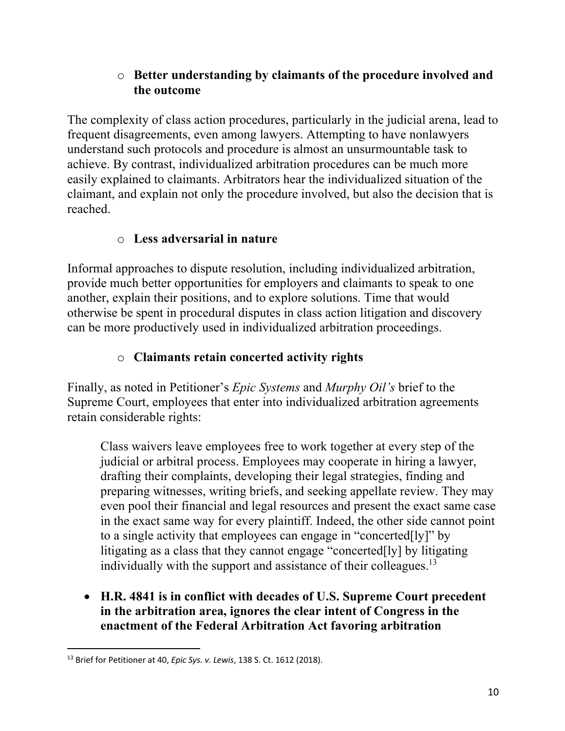### o **Better understanding by claimants of the procedure involved and the outcome**

The complexity of class action procedures, particularly in the judicial arena, lead to frequent disagreements, even among lawyers. Attempting to have nonlawyers understand such protocols and procedure is almost an unsurmountable task to achieve. By contrast, individualized arbitration procedures can be much more easily explained to claimants. Arbitrators hear the individualized situation of the claimant, and explain not only the procedure involved, but also the decision that is reached.

# o **Less adversarial in nature**

Informal approaches to dispute resolution, including individualized arbitration, provide much better opportunities for employers and claimants to speak to one another, explain their positions, and to explore solutions. Time that would otherwise be spent in procedural disputes in class action litigation and discovery can be more productively used in individualized arbitration proceedings.

# o **Claimants retain concerted activity rights**

Finally, as noted in Petitioner's *Epic Systems* and *Murphy Oil's* brief to the Supreme Court, employees that enter into individualized arbitration agreements retain considerable rights:

Class waivers leave employees free to work together at every step of the judicial or arbitral process. Employees may cooperate in hiring a lawyer, drafting their complaints, developing their legal strategies, finding and preparing witnesses, writing briefs, and seeking appellate review. They may even pool their financial and legal resources and present the exact same case in the exact same way for every plaintiff. Indeed, the other side cannot point to a single activity that employees can engage in "concerted[ly]" by litigating as a class that they cannot engage "concerted[ly] by litigating individually with the support and assistance of their colleagues.<sup>13</sup>

• **H.R. 4841 is in conflict with decades of U.S. Supreme Court precedent in the arbitration area, ignores the clear intent of Congress in the enactment of the Federal Arbitration Act favoring arbitration** 

<sup>13</sup> Brief for Petitioner at 40, *Epic Sys. v. Lewis*, 138 S. Ct. 1612 (2018).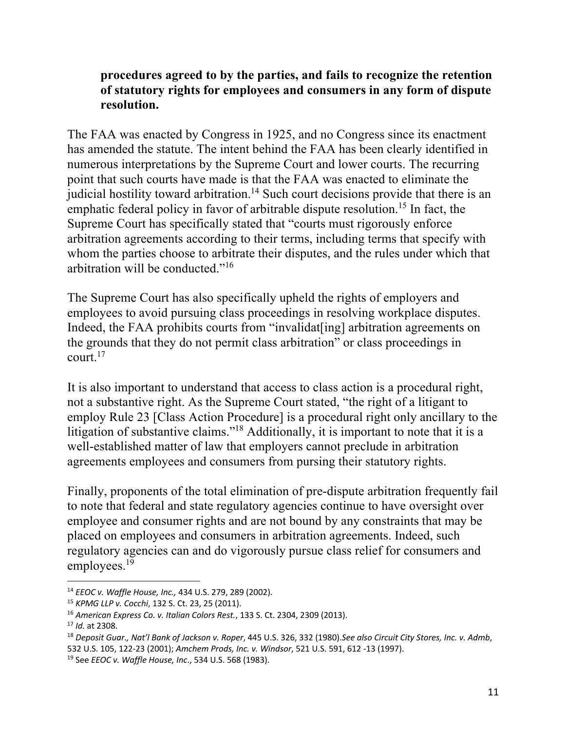### **procedures agreed to by the parties, and fails to recognize the retention of statutory rights for employees and consumers in any form of dispute resolution.**

The FAA was enacted by Congress in 1925, and no Congress since its enactment has amended the statute. The intent behind the FAA has been clearly identified in numerous interpretations by the Supreme Court and lower courts. The recurring point that such courts have made is that the FAA was enacted to eliminate the judicial hostility toward arbitration.<sup>14</sup> Such court decisions provide that there is an emphatic federal policy in favor of arbitrable dispute resolution.<sup>15</sup> In fact, the Supreme Court has specifically stated that "courts must rigorously enforce arbitration agreements according to their terms, including terms that specify with whom the parties choose to arbitrate their disputes, and the rules under which that arbitration will be conducted."16

The Supreme Court has also specifically upheld the rights of employers and employees to avoid pursuing class proceedings in resolving workplace disputes. Indeed, the FAA prohibits courts from "invalidat[ing] arbitration agreements on the grounds that they do not permit class arbitration" or class proceedings in court. $17$ 

It is also important to understand that access to class action is a procedural right, not a substantive right. As the Supreme Court stated, "the right of a litigant to employ Rule 23 [Class Action Procedure] is a procedural right only ancillary to the litigation of substantive claims."<sup>18</sup> Additionally, it is important to note that it is a well-established matter of law that employers cannot preclude in arbitration agreements employees and consumers from pursing their statutory rights.

Finally, proponents of the total elimination of pre-dispute arbitration frequently fail to note that federal and state regulatory agencies continue to have oversight over employee and consumer rights and are not bound by any constraints that may be placed on employees and consumers in arbitration agreements. Indeed, such regulatory agencies can and do vigorously pursue class relief for consumers and employees.<sup>19</sup>

<sup>14</sup> *EEOC v. Waffle House, Inc.,* 434 U.S. 279, 289 (2002).

<sup>15</sup> *KPMG LLP v. Cocchi*, 132 S. Ct. 23, 25 (2011).

<sup>16</sup> *American Express Co. v. Italian Colors Rest.*, 133 S. Ct. 2304, 2309 (2013).

<sup>17</sup> *Id.* at 2308.

<sup>18</sup> *Deposit Guar., Nat'l Bank of Jackson v. Roper*, 445 U.S. 326, 332 (1980).*See also Circuit City Stores, Inc. v. Admb*, 532 U.S. 105, 122-23 (2001); *Amchem Prods, Inc. v. Windsor*, 521 U.S. 591, 612 -13 (1997).

<sup>19</sup> See *EEOC v. Waffle House, Inc*., 534 U.S. 568 (1983).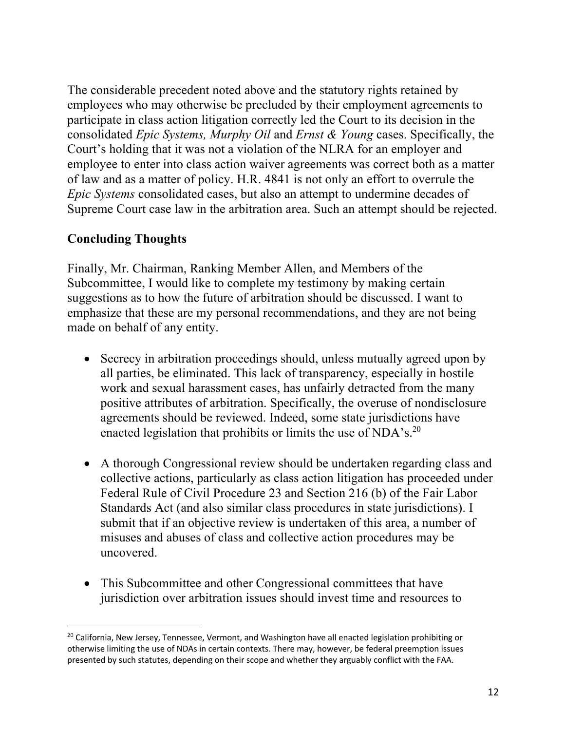The considerable precedent noted above and the statutory rights retained by employees who may otherwise be precluded by their employment agreements to participate in class action litigation correctly led the Court to its decision in the consolidated *Epic Systems, Murphy Oil* and *Ernst & Young* cases. Specifically, the Court's holding that it was not a violation of the NLRA for an employer and employee to enter into class action waiver agreements was correct both as a matter of law and as a matter of policy. H.R. 4841 is not only an effort to overrule the *Epic Systems* consolidated cases, but also an attempt to undermine decades of Supreme Court case law in the arbitration area. Such an attempt should be rejected.

### **Concluding Thoughts**

Finally, Mr. Chairman, Ranking Member Allen, and Members of the Subcommittee, I would like to complete my testimony by making certain suggestions as to how the future of arbitration should be discussed. I want to emphasize that these are my personal recommendations, and they are not being made on behalf of any entity.

- Secrecy in arbitration proceedings should, unless mutually agreed upon by all parties, be eliminated. This lack of transparency, especially in hostile work and sexual harassment cases, has unfairly detracted from the many positive attributes of arbitration. Specifically, the overuse of nondisclosure agreements should be reviewed. Indeed, some state jurisdictions have enacted legislation that prohibits or limits the use of NDA's.20
- A thorough Congressional review should be undertaken regarding class and collective actions, particularly as class action litigation has proceeded under Federal Rule of Civil Procedure 23 and Section 216 (b) of the Fair Labor Standards Act (and also similar class procedures in state jurisdictions). I submit that if an objective review is undertaken of this area, a number of misuses and abuses of class and collective action procedures may be uncovered.
- This Subcommittee and other Congressional committees that have jurisdiction over arbitration issues should invest time and resources to

<sup>&</sup>lt;sup>20</sup> California, New Jersey, Tennessee, Vermont, and Washington have all enacted legislation prohibiting or otherwise limiting the use of NDAs in certain contexts. There may, however, be federal preemption issues presented by such statutes, depending on their scope and whether they arguably conflict with the FAA.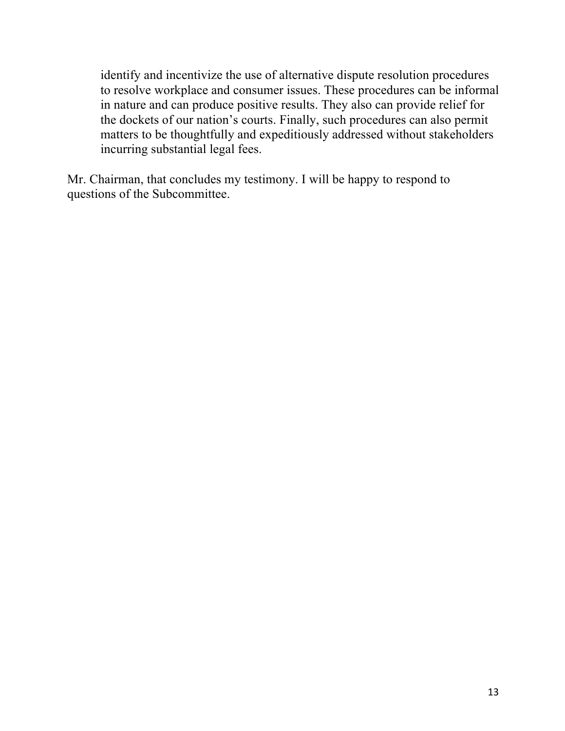identify and incentivize the use of alternative dispute resolution procedures to resolve workplace and consumer issues. These procedures can be informal in nature and can produce positive results. They also can provide relief for the dockets of our nation's courts. Finally, such procedures can also permit matters to be thoughtfully and expeditiously addressed without stakeholders incurring substantial legal fees.

Mr. Chairman, that concludes my testimony. I will be happy to respond to questions of the Subcommittee.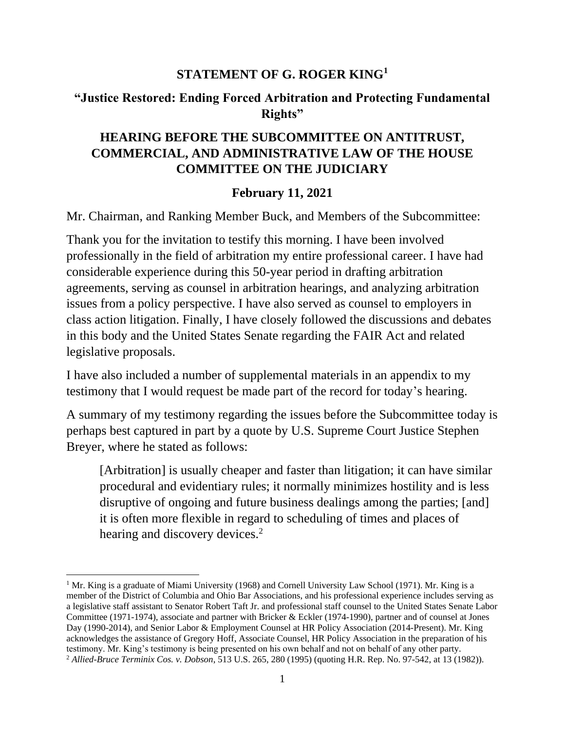#### **STATEMENT OF G. ROGER KING<sup>1</sup>**

### **"Justice Restored: Ending Forced Arbitration and Protecting Fundamental Rights"**

# **HEARING BEFORE THE SUBCOMMITTEE ON ANTITRUST, COMMERCIAL, AND ADMINISTRATIVE LAW OF THE HOUSE COMMITTEE ON THE JUDICIARY**

#### **February 11, 2021**

Mr. Chairman, and Ranking Member Buck, and Members of the Subcommittee:

Thank you for the invitation to testify this morning. I have been involved professionally in the field of arbitration my entire professional career. I have had considerable experience during this 50-year period in drafting arbitration agreements, serving as counsel in arbitration hearings, and analyzing arbitration issues from a policy perspective. I have also served as counsel to employers in class action litigation. Finally, I have closely followed the discussions and debates in this body and the United States Senate regarding the FAIR Act and related legislative proposals.

I have also included a number of supplemental materials in an appendix to my testimony that I would request be made part of the record for today's hearing.

A summary of my testimony regarding the issues before the Subcommittee today is perhaps best captured in part by a quote by U.S. Supreme Court Justice Stephen Breyer, where he stated as follows:

[Arbitration] is usually cheaper and faster than litigation; it can have similar procedural and evidentiary rules; it normally minimizes hostility and is less disruptive of ongoing and future business dealings among the parties; [and] it is often more flexible in regard to scheduling of times and places of hearing and discovery devices.<sup>2</sup>

<sup>&</sup>lt;sup>1</sup> Mr. King is a graduate of Miami University (1968) and Cornell University Law School (1971). Mr. King is a member of the District of Columbia and Ohio Bar Associations, and his professional experience includes serving as a legislative staff assistant to Senator Robert Taft Jr. and professional staff counsel to the United States Senate Labor Committee (1971-1974), associate and partner with Bricker & Eckler (1974-1990), partner and of counsel at Jones Day (1990-2014), and Senior Labor & Employment Counsel at HR Policy Association (2014-Present). Mr. King acknowledges the assistance of Gregory Hoff, Associate Counsel, HR Policy Association in the preparation of his testimony. Mr. King's testimony is being presented on his own behalf and not on behalf of any other party. <sup>2</sup> *Allied-Bruce Terminix Cos. v. Dobson*, 513 U.S. 265, 280 (1995) (quoting H.R. Rep. No. 97-542, at 13 (1982)).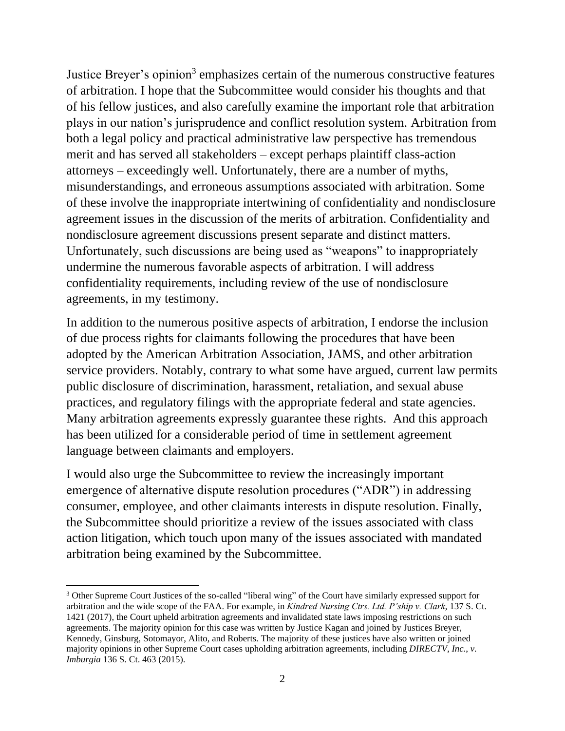Justice Breyer's opinion<sup>3</sup> emphasizes certain of the numerous constructive features of arbitration. I hope that the Subcommittee would consider his thoughts and that of his fellow justices, and also carefully examine the important role that arbitration plays in our nation's jurisprudence and conflict resolution system. Arbitration from both a legal policy and practical administrative law perspective has tremendous merit and has served all stakeholders – except perhaps plaintiff class-action attorneys – exceedingly well. Unfortunately, there are a number of myths, misunderstandings, and erroneous assumptions associated with arbitration. Some of these involve the inappropriate intertwining of confidentiality and nondisclosure agreement issues in the discussion of the merits of arbitration. Confidentiality and nondisclosure agreement discussions present separate and distinct matters. Unfortunately, such discussions are being used as "weapons" to inappropriately undermine the numerous favorable aspects of arbitration. I will address confidentiality requirements, including review of the use of nondisclosure agreements, in my testimony.

In addition to the numerous positive aspects of arbitration, I endorse the inclusion of due process rights for claimants following the procedures that have been adopted by the American Arbitration Association, JAMS, and other arbitration service providers. Notably, contrary to what some have argued, current law permits public disclosure of discrimination, harassment, retaliation, and sexual abuse practices, and regulatory filings with the appropriate federal and state agencies. Many arbitration agreements expressly guarantee these rights. And this approach has been utilized for a considerable period of time in settlement agreement language between claimants and employers.

I would also urge the Subcommittee to review the increasingly important emergence of alternative dispute resolution procedures ("ADR") in addressing consumer, employee, and other claimants interests in dispute resolution. Finally, the Subcommittee should prioritize a review of the issues associated with class action litigation, which touch upon many of the issues associated with mandated arbitration being examined by the Subcommittee.

<sup>3</sup> Other Supreme Court Justices of the so-called "liberal wing" of the Court have similarly expressed support for arbitration and the wide scope of the FAA. For example, in *Kindred Nursing Ctrs. Ltd. P'ship v. Clark*, 137 S. Ct. 1421 (2017), the Court upheld arbitration agreements and invalidated state laws imposing restrictions on such agreements. The majority opinion for this case was written by Justice Kagan and joined by Justices Breyer, Kennedy, Ginsburg, Sotomayor, Alito, and Roberts. The majority of these justices have also written or joined majority opinions in other Supreme Court cases upholding arbitration agreements, including *DIRECTV, Inc.*, *v. Imburgia* 136 S. Ct. 463 (2015).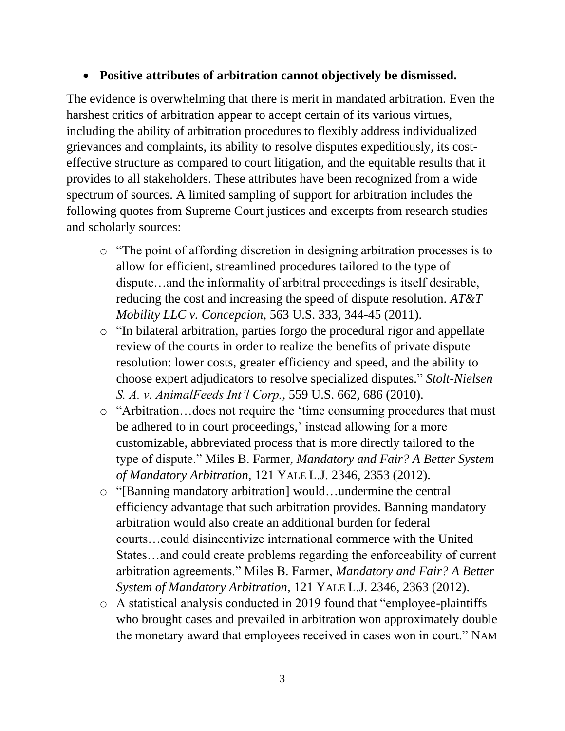#### • **Positive attributes of arbitration cannot objectively be dismissed.**

The evidence is overwhelming that there is merit in mandated arbitration. Even the harshest critics of arbitration appear to accept certain of its various virtues, including the ability of arbitration procedures to flexibly address individualized grievances and complaints, its ability to resolve disputes expeditiously, its costeffective structure as compared to court litigation, and the equitable results that it provides to all stakeholders. These attributes have been recognized from a wide spectrum of sources. A limited sampling of support for arbitration includes the following quotes from Supreme Court justices and excerpts from research studies and scholarly sources:

- o "The point of affording discretion in designing arbitration processes is to allow for efficient, streamlined procedures tailored to the type of dispute…and the informality of arbitral proceedings is itself desirable, reducing the cost and increasing the speed of dispute resolution. *AT&T Mobility LLC v. Concepcion*, 563 U.S. 333, 344-45 (2011).
- o "In bilateral arbitration, parties forgo the procedural rigor and appellate review of the courts in order to realize the benefits of private dispute resolution: lower costs, greater efficiency and speed, and the ability to choose expert adjudicators to resolve specialized disputes." *Stolt-Nielsen S. A. v. AnimalFeeds Int'l Corp.*, 559 U.S. 662, 686 (2010).
- o "Arbitration…does not require the 'time consuming procedures that must be adhered to in court proceedings,' instead allowing for a more customizable, abbreviated process that is more directly tailored to the type of dispute." Miles B. Farmer, *Mandatory and Fair? A Better System of Mandatory Arbitration*, 121 YALE L.J. 2346, 2353 (2012).
- o "[Banning mandatory arbitration] would…undermine the central efficiency advantage that such arbitration provides. Banning mandatory arbitration would also create an additional burden for federal courts…could disincentivize international commerce with the United States…and could create problems regarding the enforceability of current arbitration agreements." Miles B. Farmer, *Mandatory and Fair? A Better System of Mandatory Arbitration*, 121 YALE L.J. 2346, 2363 (2012).
- o A statistical analysis conducted in 2019 found that "employee-plaintiffs who brought cases and prevailed in arbitration won approximately double the monetary award that employees received in cases won in court." NAM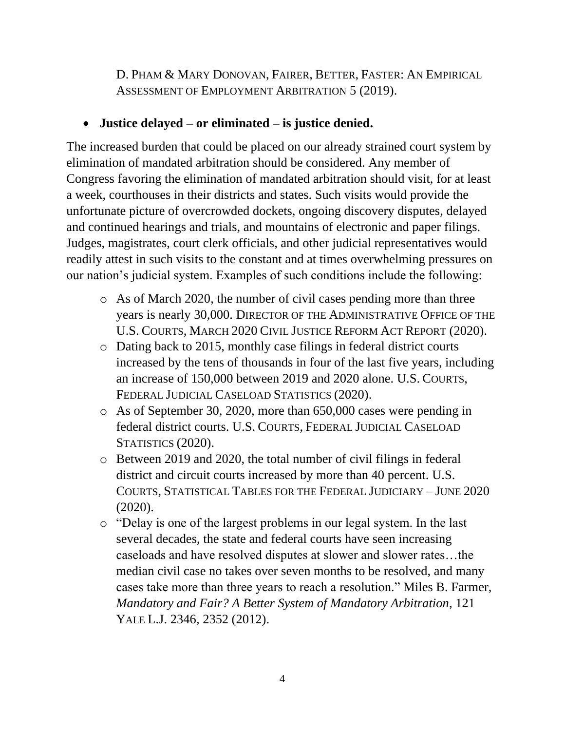D. PHAM & MARY DONOVAN, FAIRER, BETTER, FASTER: AN EMPIRICAL ASSESSMENT OF EMPLOYMENT ARBITRATION 5 (2019).

# • **Justice delayed – or eliminated – is justice denied.**

The increased burden that could be placed on our already strained court system by elimination of mandated arbitration should be considered. Any member of Congress favoring the elimination of mandated arbitration should visit, for at least a week, courthouses in their districts and states. Such visits would provide the unfortunate picture of overcrowded dockets, ongoing discovery disputes, delayed and continued hearings and trials, and mountains of electronic and paper filings. Judges, magistrates, court clerk officials, and other judicial representatives would readily attest in such visits to the constant and at times overwhelming pressures on our nation's judicial system. Examples of such conditions include the following:

- o As of March 2020, the number of civil cases pending more than three years is nearly 30,000. DIRECTOR OF THE ADMINISTRATIVE OFFICE OF THE U.S. COURTS, MARCH 2020 CIVIL JUSTICE REFORM ACT REPORT (2020).
- o Dating back to 2015, monthly case filings in federal district courts increased by the tens of thousands in four of the last five years, including an increase of 150,000 between 2019 and 2020 alone. U.S. COURTS, FEDERAL JUDICIAL CASELOAD STATISTICS (2020).
- o As of September 30, 2020, more than 650,000 cases were pending in federal district courts. U.S. COURTS, FEDERAL JUDICIAL CASELOAD STATISTICS (2020).
- o Between 2019 and 2020, the total number of civil filings in federal district and circuit courts increased by more than 40 percent. U.S. COURTS, STATISTICAL TABLES FOR THE FEDERAL JUDICIARY – JUNE 2020 (2020).
- o "Delay is one of the largest problems in our legal system. In the last several decades, the state and federal courts have seen increasing caseloads and have resolved disputes at slower and slower rates…the median civil case no takes over seven months to be resolved, and many cases take more than three years to reach a resolution." Miles B. Farmer, *Mandatory and Fair? A Better System of Mandatory Arbitration*, 121 YALE L.J. 2346, 2352 (2012).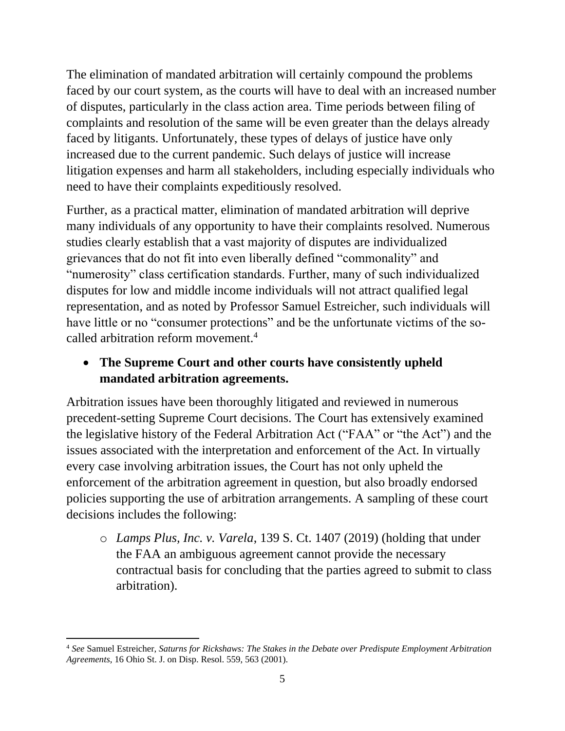The elimination of mandated arbitration will certainly compound the problems faced by our court system, as the courts will have to deal with an increased number of disputes, particularly in the class action area. Time periods between filing of complaints and resolution of the same will be even greater than the delays already faced by litigants. Unfortunately, these types of delays of justice have only increased due to the current pandemic. Such delays of justice will increase litigation expenses and harm all stakeholders, including especially individuals who need to have their complaints expeditiously resolved.

Further, as a practical matter, elimination of mandated arbitration will deprive many individuals of any opportunity to have their complaints resolved. Numerous studies clearly establish that a vast majority of disputes are individualized grievances that do not fit into even liberally defined "commonality" and "numerosity" class certification standards. Further, many of such individualized disputes for low and middle income individuals will not attract qualified legal representation, and as noted by Professor Samuel Estreicher, such individuals will have little or no "consumer protections" and be the unfortunate victims of the socalled arbitration reform movement.<sup>4</sup>

# • **The Supreme Court and other courts have consistently upheld mandated arbitration agreements.**

Arbitration issues have been thoroughly litigated and reviewed in numerous precedent-setting Supreme Court decisions. The Court has extensively examined the legislative history of the Federal Arbitration Act ("FAA" or "the Act") and the issues associated with the interpretation and enforcement of the Act. In virtually every case involving arbitration issues, the Court has not only upheld the enforcement of the arbitration agreement in question, but also broadly endorsed policies supporting the use of arbitration arrangements. A sampling of these court decisions includes the following:

o *Lamps Plus, Inc. v. Varela*, 139 S. Ct. 1407 (2019) (holding that under the FAA an ambiguous agreement cannot provide the necessary contractual basis for concluding that the parties agreed to submit to class arbitration).

<sup>4</sup> *See* Samuel Estreicher, *Saturns for Rickshaws: The Stakes in the Debate over Predispute Employment Arbitration Agreements*, 16 Ohio St. J. on Disp. Resol. 559, 563 (2001).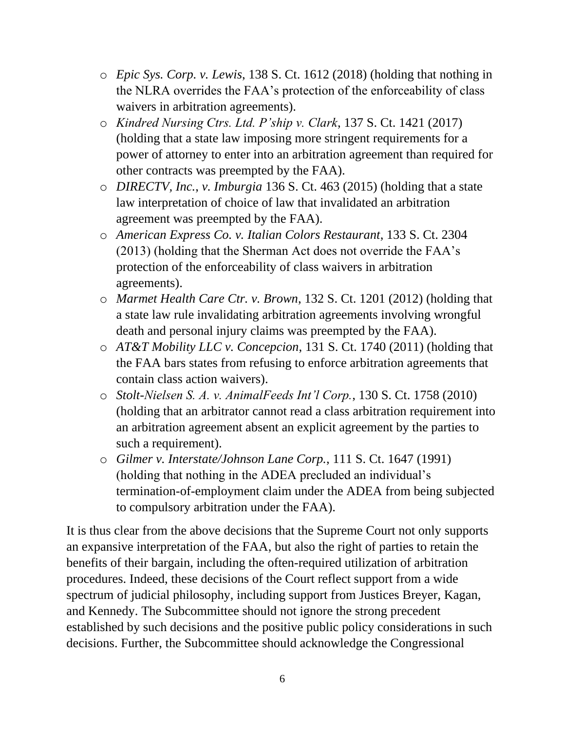- o *Epic Sys. Corp. v. Lewis*, 138 S. Ct. 1612 (2018) (holding that nothing in the NLRA overrides the FAA's protection of the enforceability of class waivers in arbitration agreements).
- o *Kindred Nursing Ctrs. Ltd. P'ship v. Clark*, 137 S. Ct. 1421 (2017) (holding that a state law imposing more stringent requirements for a power of attorney to enter into an arbitration agreement than required for other contracts was preempted by the FAA).
- o *DIRECTV, Inc.*, *v. Imburgia* 136 S. Ct. 463 (2015) (holding that a state law interpretation of choice of law that invalidated an arbitration agreement was preempted by the FAA).
- o *American Express Co. v. Italian Colors Restaurant*, 133 S. Ct. 2304 (2013) (holding that the Sherman Act does not override the FAA's protection of the enforceability of class waivers in arbitration agreements).
- o *Marmet Health Care Ctr. v. Brown*, 132 S. Ct. 1201 (2012) (holding that a state law rule invalidating arbitration agreements involving wrongful death and personal injury claims was preempted by the FAA).
- o *AT&T Mobility LLC v. Concepcion*, 131 S. Ct. 1740 (2011) (holding that the FAA bars states from refusing to enforce arbitration agreements that contain class action waivers).
- o *Stolt-Nielsen S. A. v. AnimalFeeds Int'l Corp.*, 130 S. Ct. 1758 (2010) (holding that an arbitrator cannot read a class arbitration requirement into an arbitration agreement absent an explicit agreement by the parties to such a requirement).
- o *Gilmer v. Interstate/Johnson Lane Corp.*, 111 S. Ct. 1647 (1991) (holding that nothing in the ADEA precluded an individual's termination-of-employment claim under the ADEA from being subjected to compulsory arbitration under the FAA).

It is thus clear from the above decisions that the Supreme Court not only supports an expansive interpretation of the FAA, but also the right of parties to retain the benefits of their bargain, including the often-required utilization of arbitration procedures. Indeed, these decisions of the Court reflect support from a wide spectrum of judicial philosophy, including support from Justices Breyer, Kagan, and Kennedy. The Subcommittee should not ignore the strong precedent established by such decisions and the positive public policy considerations in such decisions. Further, the Subcommittee should acknowledge the Congressional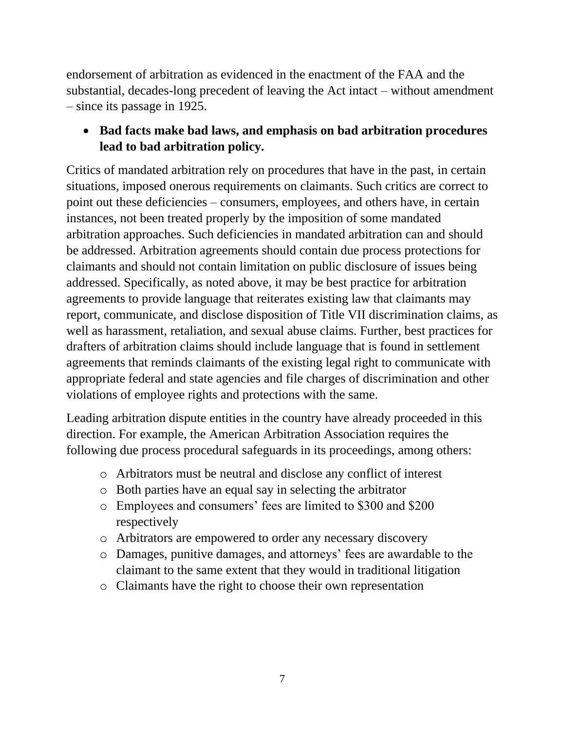endorsement of arbitration as evidenced in the enactment of the FAA and the substantial, decades-long precedent of leaving the Act intact – without amendment – since its passage in 1925.

# • **Bad facts make bad laws, and emphasis on bad arbitration procedures lead to bad arbitration policy.**

Critics of mandated arbitration rely on procedures that have in the past, in certain situations, imposed onerous requirements on claimants. Such critics are correct to point out these deficiencies – consumers, employees, and others have, in certain instances, not been treated properly by the imposition of some mandated arbitration approaches. Such deficiencies in mandated arbitration can and should be addressed. Arbitration agreements should contain due process protections for claimants and should not contain limitation on public disclosure of issues being addressed. Specifically, as noted above, it may be best practice for arbitration agreements to provide language that reiterates existing law that claimants may report, communicate, and disclose disposition of Title VII discrimination claims, as well as harassment, retaliation, and sexual abuse claims. Further, best practices for drafters of arbitration claims should include language that is found in settlement agreements that reminds claimants of the existing legal right to communicate with appropriate federal and state agencies and file charges of discrimination and other violations of employee rights and protections with the same.

Leading arbitration dispute entities in the country have already proceeded in this direction. For example, the American Arbitration Association requires the following due process procedural safeguards in its proceedings, among others:

- o Arbitrators must be neutral and disclose any conflict of interest
- o Both parties have an equal say in selecting the arbitrator
- o Employees and consumers' fees are limited to \$300 and \$200 respectively
- o Arbitrators are empowered to order any necessary discovery
- o Damages, punitive damages, and attorneys' fees are awardable to the claimant to the same extent that they would in traditional litigation
- o Claimants have the right to choose their own representation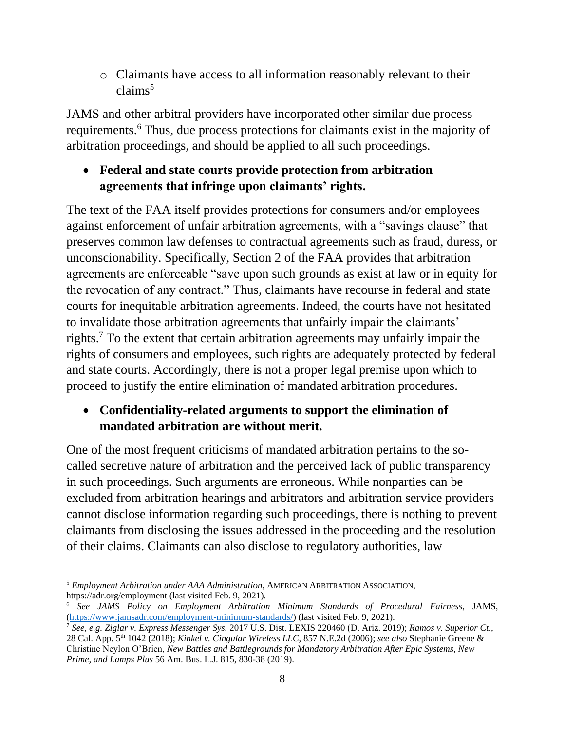o Claimants have access to all information reasonably relevant to their  $clains<sup>5</sup>$ 

JAMS and other arbitral providers have incorporated other similar due process requirements.<sup>6</sup> Thus, due process protections for claimants exist in the majority of arbitration proceedings, and should be applied to all such proceedings.

# • **Federal and state courts provide protection from arbitration agreements that infringe upon claimants' rights.**

The text of the FAA itself provides protections for consumers and/or employees against enforcement of unfair arbitration agreements, with a "savings clause" that preserves common law defenses to contractual agreements such as fraud, duress, or unconscionability. Specifically, Section 2 of the FAA provides that arbitration agreements are enforceable "save upon such grounds as exist at law or in equity for the revocation of any contract." Thus, claimants have recourse in federal and state courts for inequitable arbitration agreements. Indeed, the courts have not hesitated to invalidate those arbitration agreements that unfairly impair the claimants' rights.<sup>7</sup> To the extent that certain arbitration agreements may unfairly impair the rights of consumers and employees, such rights are adequately protected by federal and state courts. Accordingly, there is not a proper legal premise upon which to proceed to justify the entire elimination of mandated arbitration procedures.

# • **Confidentiality-related arguments to support the elimination of mandated arbitration are without merit.**

One of the most frequent criticisms of mandated arbitration pertains to the socalled secretive nature of arbitration and the perceived lack of public transparency in such proceedings. Such arguments are erroneous. While nonparties can be excluded from arbitration hearings and arbitrators and arbitration service providers cannot disclose information regarding such proceedings, there is nothing to prevent claimants from disclosing the issues addressed in the proceeding and the resolution of their claims. Claimants can also disclose to regulatory authorities, law

<sup>5</sup> *Employment Arbitration under AAA Administration*, AMERICAN ARBITRATION ASSOCIATION, https://adr.org/employment (last visited Feb. 9, 2021).

<sup>6</sup> *See JAMS Policy on Employment Arbitration Minimum Standards of Procedural Fairness*, JAMS, [\(https://www.jamsadr.com/employment-minimum-standards/\)](https://www.jamsadr.com/employment-minimum-standards/) (last visited Feb. 9, 2021).

<sup>7</sup> *See, e.g. Ziglar v. Express Messenger Sys.* 2017 U.S. Dist. LEXIS 220460 (D. Ariz. 2019); *Ramos v. Superior Ct.,* 28 Cal. App. 5th 1042 (2018); *Kinkel v. Cingular Wireless LLC*, 857 N.E.2d (2006); *see also* Stephanie Greene & Christine Neylon O'Brien, *New Battles and Battlegrounds for Mandatory Arbitration After Epic Systems, New Prime, and Lamps Plus* 56 Am. Bus. L.J. 815, 830-38 (2019).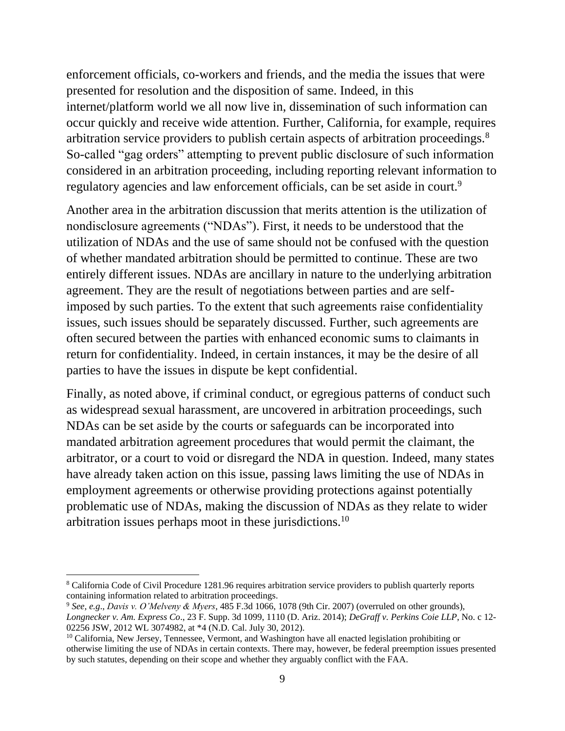enforcement officials, co-workers and friends, and the media the issues that were presented for resolution and the disposition of same. Indeed, in this internet/platform world we all now live in, dissemination of such information can occur quickly and receive wide attention. Further, California, for example, requires arbitration service providers to publish certain aspects of arbitration proceedings.<sup>8</sup> So-called "gag orders" attempting to prevent public disclosure of such information considered in an arbitration proceeding, including reporting relevant information to regulatory agencies and law enforcement officials, can be set aside in court.<sup>9</sup>

Another area in the arbitration discussion that merits attention is the utilization of nondisclosure agreements ("NDAs"). First, it needs to be understood that the utilization of NDAs and the use of same should not be confused with the question of whether mandated arbitration should be permitted to continue. These are two entirely different issues. NDAs are ancillary in nature to the underlying arbitration agreement. They are the result of negotiations between parties and are selfimposed by such parties. To the extent that such agreements raise confidentiality issues, such issues should be separately discussed. Further, such agreements are often secured between the parties with enhanced economic sums to claimants in return for confidentiality. Indeed, in certain instances, it may be the desire of all parties to have the issues in dispute be kept confidential.

Finally, as noted above, if criminal conduct, or egregious patterns of conduct such as widespread sexual harassment, are uncovered in arbitration proceedings, such NDAs can be set aside by the courts or safeguards can be incorporated into mandated arbitration agreement procedures that would permit the claimant, the arbitrator, or a court to void or disregard the NDA in question. Indeed, many states have already taken action on this issue, passing laws limiting the use of NDAs in employment agreements or otherwise providing protections against potentially problematic use of NDAs, making the discussion of NDAs as they relate to wider arbitration issues perhaps moot in these jurisdictions.<sup>10</sup>

<sup>8</sup> California Code of Civil Procedure 1281.96 requires arbitration service providers to publish quarterly reports containing information related to arbitration proceedings.

<sup>9</sup> *See, e.g*., *Davis v. O'Melveny & Myers*, 485 F.3d 1066, 1078 (9th Cir. 2007) (overruled on other grounds), *Longnecker v. Am. Express Co*., 23 F. Supp. 3d 1099, 1110 (D. Ariz. 2014); *DeGraff v. Perkins Coie LLP*, No. c 12- 02256 JSW, 2012 WL 3074982, at \*4 (N.D. Cal. July 30, 2012).

<sup>&</sup>lt;sup>10</sup> California, New Jersey, Tennessee, Vermont, and Washington have all enacted legislation prohibiting or otherwise limiting the use of NDAs in certain contexts. There may, however, be federal preemption issues presented by such statutes, depending on their scope and whether they arguably conflict with the FAA.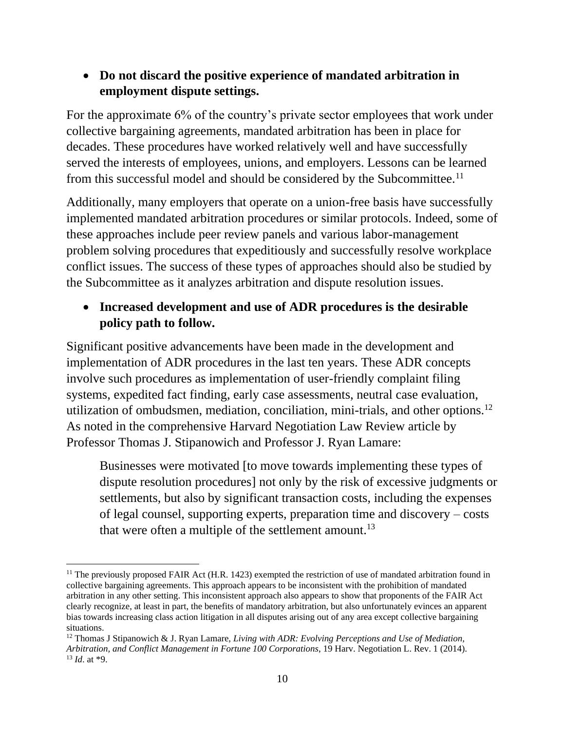• **Do not discard the positive experience of mandated arbitration in employment dispute settings.**

For the approximate 6% of the country's private sector employees that work under collective bargaining agreements, mandated arbitration has been in place for decades. These procedures have worked relatively well and have successfully served the interests of employees, unions, and employers. Lessons can be learned from this successful model and should be considered by the Subcommittee.<sup>11</sup>

Additionally, many employers that operate on a union-free basis have successfully implemented mandated arbitration procedures or similar protocols. Indeed, some of these approaches include peer review panels and various labor-management problem solving procedures that expeditiously and successfully resolve workplace conflict issues. The success of these types of approaches should also be studied by the Subcommittee as it analyzes arbitration and dispute resolution issues.

# • **Increased development and use of ADR procedures is the desirable policy path to follow.**

Significant positive advancements have been made in the development and implementation of ADR procedures in the last ten years. These ADR concepts involve such procedures as implementation of user-friendly complaint filing systems, expedited fact finding, early case assessments, neutral case evaluation, utilization of ombudsmen, mediation, conciliation, mini-trials, and other options.<sup>12</sup> As noted in the comprehensive Harvard Negotiation Law Review article by Professor Thomas J. Stipanowich and Professor J. Ryan Lamare:

Businesses were motivated [to move towards implementing these types of dispute resolution procedures] not only by the risk of excessive judgments or settlements, but also by significant transaction costs, including the expenses of legal counsel, supporting experts, preparation time and discovery – costs that were often a multiple of the settlement amount.<sup>13</sup>

<sup>&</sup>lt;sup>11</sup> The previously proposed FAIR Act (H.R. 1423) exempted the restriction of use of mandated arbitration found in collective bargaining agreements. This approach appears to be inconsistent with the prohibition of mandated arbitration in any other setting. This inconsistent approach also appears to show that proponents of the FAIR Act clearly recognize, at least in part, the benefits of mandatory arbitration, but also unfortunately evinces an apparent bias towards increasing class action litigation in all disputes arising out of any area except collective bargaining situations.

<sup>12</sup> Thomas J Stipanowich & J. Ryan Lamare, *Living with ADR: Evolving Perceptions and Use of Mediation, Arbitration, and Conflict Management in Fortune 100 Corporations*, 19 Harv. Negotiation L. Rev. 1 (2014). <sup>13</sup> *Id*. at \*9.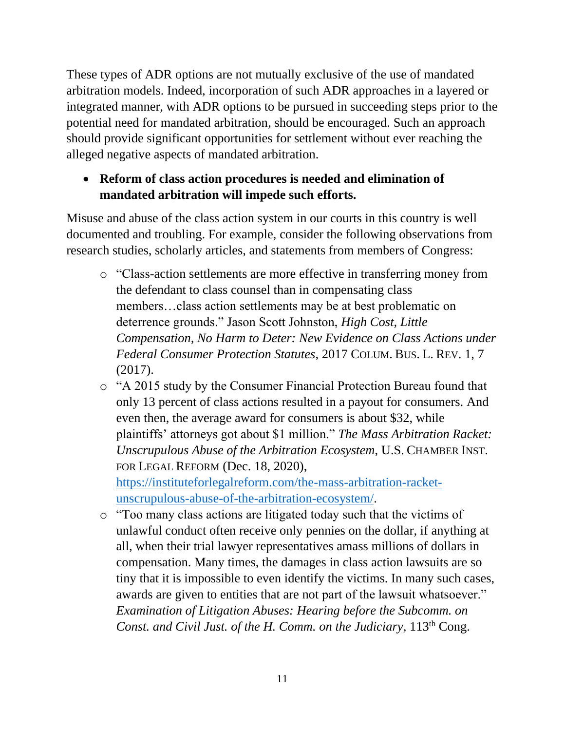These types of ADR options are not mutually exclusive of the use of mandated arbitration models. Indeed, incorporation of such ADR approaches in a layered or integrated manner, with ADR options to be pursued in succeeding steps prior to the potential need for mandated arbitration, should be encouraged. Such an approach should provide significant opportunities for settlement without ever reaching the alleged negative aspects of mandated arbitration.

### • **Reform of class action procedures is needed and elimination of mandated arbitration will impede such efforts.**

Misuse and abuse of the class action system in our courts in this country is well documented and troubling. For example, consider the following observations from research studies, scholarly articles, and statements from members of Congress:

- o "Class-action settlements are more effective in transferring money from the defendant to class counsel than in compensating class members…class action settlements may be at best problematic on deterrence grounds." Jason Scott Johnston, *High Cost, Little Compensation, No Harm to Deter: New Evidence on Class Actions under Federal Consumer Protection Statutes*, 2017 COLUM. BUS. L. REV. 1, 7 (2017).
- o "A 2015 study by the Consumer Financial Protection Bureau found that only 13 percent of class actions resulted in a payout for consumers. And even then, the average award for consumers is about \$32, while plaintiffs' attorneys got about \$1 million." *The Mass Arbitration Racket: Unscrupulous Abuse of the Arbitration Ecosystem*, U.S. CHAMBER INST. FOR LEGAL REFORM (Dec. 18, 2020), [https://instituteforlegalreform.com/the-mass-arbitration-racket-](https://instituteforlegalreform.com/the-mass-arbitration-racket-unscrupulous-abuse-of-the-arbitration-ecosystem/)

[unscrupulous-abuse-of-the-arbitration-ecosystem/.](https://instituteforlegalreform.com/the-mass-arbitration-racket-unscrupulous-abuse-of-the-arbitration-ecosystem/)

o "Too many class actions are litigated today such that the victims of unlawful conduct often receive only pennies on the dollar, if anything at all, when their trial lawyer representatives amass millions of dollars in compensation. Many times, the damages in class action lawsuits are so tiny that it is impossible to even identify the victims. In many such cases, awards are given to entities that are not part of the lawsuit whatsoever." *Examination of Litigation Abuses: Hearing before the Subcomm. on Const. and Civil Just. of the H. Comm. on the Judiciary*, 113th Cong.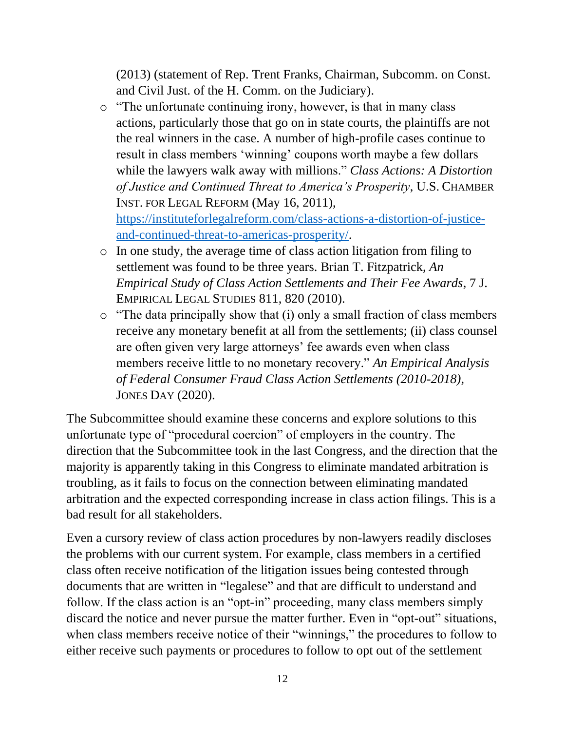(2013) (statement of Rep. Trent Franks, Chairman, Subcomm. on Const. and Civil Just. of the H. Comm. on the Judiciary).

o "The unfortunate continuing irony, however, is that in many class actions, particularly those that go on in state courts, the plaintiffs are not the real winners in the case. A number of high-profile cases continue to result in class members 'winning' coupons worth maybe a few dollars while the lawyers walk away with millions." *Class Actions: A Distortion of Justice and Continued Threat to America's Prosperity*, U.S. CHAMBER INST. FOR LEGAL REFORM (May 16, 2011), [https://instituteforlegalreform.com/class-actions-a-distortion-of-justice-](https://instituteforlegalreform.com/class-actions-a-distortion-of-justice-and-continued-threat-to-americas-prosperity/)

[and-continued-threat-to-americas-prosperity/.](https://instituteforlegalreform.com/class-actions-a-distortion-of-justice-and-continued-threat-to-americas-prosperity/)

- o In one study, the average time of class action litigation from filing to settlement was found to be three years. Brian T. Fitzpatrick, *An Empirical Study of Class Action Settlements and Their Fee Awards*, 7 J. EMPIRICAL LEGAL STUDIES 811, 820 (2010).
- $\circ$  "The data principally show that (i) only a small fraction of class members receive any monetary benefit at all from the settlements; (ii) class counsel are often given very large attorneys' fee awards even when class members receive little to no monetary recovery." *An Empirical Analysis of Federal Consumer Fraud Class Action Settlements (2010-2018)*, JONES DAY (2020).

The Subcommittee should examine these concerns and explore solutions to this unfortunate type of "procedural coercion" of employers in the country. The direction that the Subcommittee took in the last Congress, and the direction that the majority is apparently taking in this Congress to eliminate mandated arbitration is troubling, as it fails to focus on the connection between eliminating mandated arbitration and the expected corresponding increase in class action filings. This is a bad result for all stakeholders.

Even a cursory review of class action procedures by non-lawyers readily discloses the problems with our current system. For example, class members in a certified class often receive notification of the litigation issues being contested through documents that are written in "legalese" and that are difficult to understand and follow. If the class action is an "opt-in" proceeding, many class members simply discard the notice and never pursue the matter further. Even in "opt-out" situations, when class members receive notice of their "winnings," the procedures to follow to either receive such payments or procedures to follow to opt out of the settlement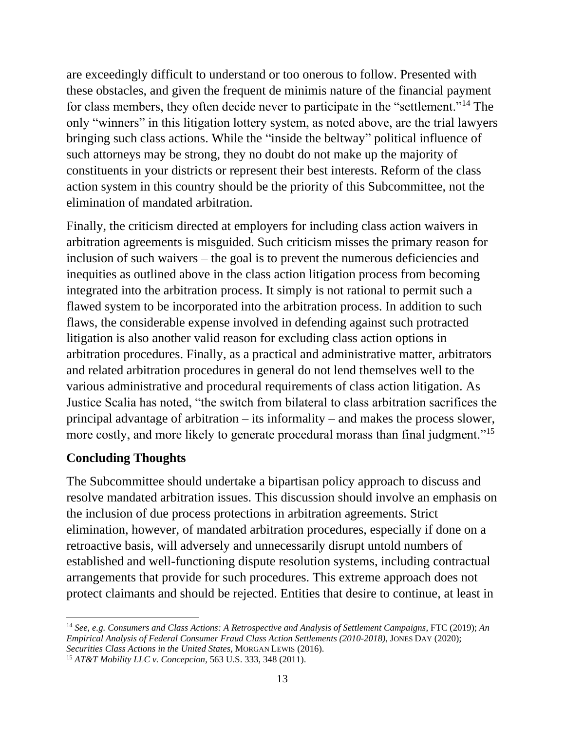are exceedingly difficult to understand or too onerous to follow. Presented with these obstacles, and given the frequent de minimis nature of the financial payment for class members, they often decide never to participate in the "settlement."<sup>14</sup> The only "winners" in this litigation lottery system, as noted above, are the trial lawyers bringing such class actions. While the "inside the beltway" political influence of such attorneys may be strong, they no doubt do not make up the majority of constituents in your districts or represent their best interests. Reform of the class action system in this country should be the priority of this Subcommittee, not the elimination of mandated arbitration.

Finally, the criticism directed at employers for including class action waivers in arbitration agreements is misguided. Such criticism misses the primary reason for inclusion of such waivers – the goal is to prevent the numerous deficiencies and inequities as outlined above in the class action litigation process from becoming integrated into the arbitration process. It simply is not rational to permit such a flawed system to be incorporated into the arbitration process. In addition to such flaws, the considerable expense involved in defending against such protracted litigation is also another valid reason for excluding class action options in arbitration procedures. Finally, as a practical and administrative matter, arbitrators and related arbitration procedures in general do not lend themselves well to the various administrative and procedural requirements of class action litigation. As Justice Scalia has noted, "the switch from bilateral to class arbitration sacrifices the principal advantage of arbitration – its informality – and makes the process slower, more costly, and more likely to generate procedural morass than final judgment."<sup>15</sup>

### **Concluding Thoughts**

The Subcommittee should undertake a bipartisan policy approach to discuss and resolve mandated arbitration issues. This discussion should involve an emphasis on the inclusion of due process protections in arbitration agreements. Strict elimination, however, of mandated arbitration procedures, especially if done on a retroactive basis, will adversely and unnecessarily disrupt untold numbers of established and well-functioning dispute resolution systems, including contractual arrangements that provide for such procedures. This extreme approach does not protect claimants and should be rejected. Entities that desire to continue, at least in

<sup>14</sup> *See, e.g. Consumers and Class Actions: A Retrospective and Analysis of Settlement Campaigns*, FTC (2019); *An Empirical Analysis of Federal Consumer Fraud Class Action Settlements (2010-2018)*, JONES DAY (2020); *Securities Class Actions in the United States*, MORGAN LEWIS (2016).

<sup>15</sup> *AT&T Mobility LLC v. Concepcion*, 563 U.S. 333, 348 (2011).